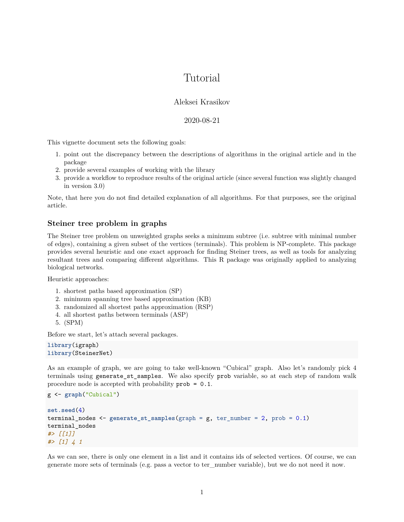# Tutorial

# Aleksei Krasikov

## 2020-08-21

This vignette document sets the following goals:

- 1. point out the discrepancy between the descriptions of algorithms in the original article and in the package
- 2. provide several examples of working with the library
- 3. provide a workflow to reproduce results of the original article (since several function was slightly changed in version 3.0)

Note, that here you do not find detailed explanation of all algorithms. For that purposes, see the [original](https://bmcbioinformatics.biomedcentral.com/articles/10.1186/1471-2105-14-144) [article.](https://bmcbioinformatics.biomedcentral.com/articles/10.1186/1471-2105-14-144)

# **Steiner tree problem in graphs**

The Steiner tree problem on unweighted graphs seeks a minimum subtree (i.e. subtree with minimal number of edges), containing a given subset of the vertices (terminals). This problem is NP-complete. This package provides several heuristic and one exact approach for finding Steiner trees, as well as tools for analyzing resultant trees and comparing different algorithms. This R package was originally applied to analyzing biological networks.

Heuristic approaches:

- 1. shortest paths based approximation (SP)
- 2. minimum spanning tree based approximation (KB)
- 3. randomized all shortest paths approximation (RSP)
- 4. all shortest paths between terminals (ASP)
- 5. (SPM)

Before we start, let's attach several packages.

```
library(igraph)
library(SteinerNet)
```
As an example of graph, we are going to take well-known "Cubical" graph. Also let's randomly pick 4 terminals using generate\_st\_samples. We also specify prob variable, so at each step of random walk procedure node is accepted with probability prob = 0.1.

```
g <- graph("Cubical")
set.seed(4)
terminal_nodes <- generate_st_samples(graph = g, ter_number = 2, prob = 0.1)
terminal_nodes
#> [[1]]
#> [1] 4 1
```
As we can see, there is only one element in a list and it contains ids of selected vertices. Of course, we can generate more sets of terminals (e.g. pass a vector to ter\_number variable), but we do not need it now.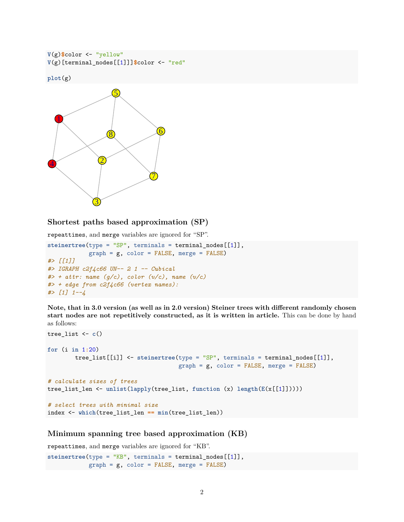```
V(g)$color <- "yellow"
V(g)[terminal_nodes[[1]]]$color <- "red"
```
**plot**(g)



# **Shortest paths based approximation (SP)**

repeattimes, and merge variables are ignored for "SP".

```
steinertree(type = "SP", terminals = terminal_nodes[[1]],
            graph = g, color = FALSE, merge = FALSE)
#> [[1]]
#> IGRAPH c2f4c66 UN-- 2 1 -- Cubical
#> + attr: name (g/c), color (v/c), name (v/c)
#> + edge from c2f4c66 (vertex names):
#> [1] 1--4
```
**Note, that in 3.0 version (as well as in 2.0 version) Steiner trees with different randomly chosen start nodes are not repetitively constructed, as it is written in article.** This can be done by hand as follows:

```
tree_list <- c()
for (i in 1:20)
        tree_list[[i]] <- steinertree(type = "SP", terminals = terminal_nodes[[1]],
                                      graph = g, color = FALSE, merge = FALSE)
# calculate sizes of trees
tree_list_len <- unlist(lapply(tree_list, function (x) length(E(x[[1]]))))
# select trees with minimal size
index <- which(tree_list_len == min(tree_list_len))
```
#### **Minimum spanning tree based approximation (KB)**

repeattimes, and merge variables are ignored for "KB". steinertree(type = "KB", terminals = terminal\_nodes[[1]],  $graph = g$ ,  $color = FALSE$ ,  $merge = FALSE$ )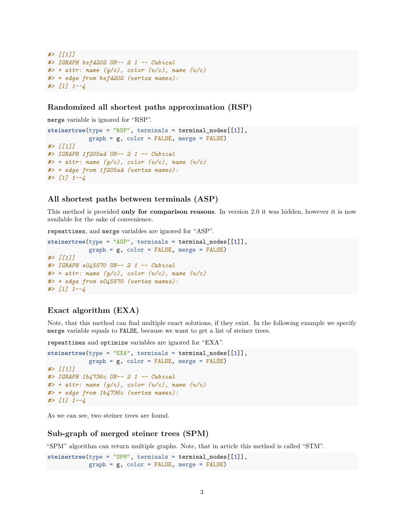```
#> [[1]]
#> IGRAPH befd202 UN-- 2 1 -- Cubical
#> + attr: name (g/c), color (v/c), name (v/c)
#> + edge from befd202 (vertex names):
#> [1] 1--4
```
#### **Randomized all shortest paths approximation (RSP)**

merge variable is ignored for "RSP".

```
steinertree(type = "RSP", terminals = terminal_nodes[[1]],
            graph = g, color = FALSE, merge = FALSE)
#> [[1]]
#> IGRAPH 1f205ad UN-- 2 1 -- Cubical
#> + attr: name (g/c), color (v/c), name (v/c)
#> + edge from 1f205ad (vertex names):
#> [1] 1--4
```
#### **All shortest paths between terminals (ASP)**

This method is provided **only for comparison reasons**. In version 2.0 it was hidden, however it is now available for the sake of convenience.

repeattimes, and merge variables are ignored for "ASP".

```
steinertree(type = "ASP", terminals = terminal nodes[[1]],
            graph = g, color = FALSE, merge = FALSE)
#> [[1]]
#> IGRAPH e045570 UN-- 2 1 -- Cubical
#> + attr: name (g/c), color (v/c), name (v/c)
#> + edge from e045570 (vertex names):
#> [1] 1--4
```
#### **Exact algorithm (EXA)**

Note, that this method can find multiple exact solutions, if they exist. In the following example we specify merge variable equals to FALSE, because we want to get a list of steiner trees.

repeattimes and optimize variables are ignored for "EXA".

```
steinertree(type = "EXA", terminals = terminal_nodes[[1]],
            graph = g, color = FALSE, merge = FALSE)
#> [[1]]
#> IGRAPH 1b4736c UN-- 2 1 -- Cubical
#> + attr: name (g/c), color (v/c), name (v/c)
#> + edge from 1b4736c (vertex names):
#> [1] 1--4
```
As we can see, two steiner trees are found.

#### **Sub-graph of merged steiner trees (SPM)**

"SPM" algorithm can return multiple graphs. Note, that in article this method is called "STM".

steinertree(type = "SPM", terminals = terminal\_nodes[[1]],  $graph = g$ ,  $color = FALSE$ ,  $merge = FALSE$ )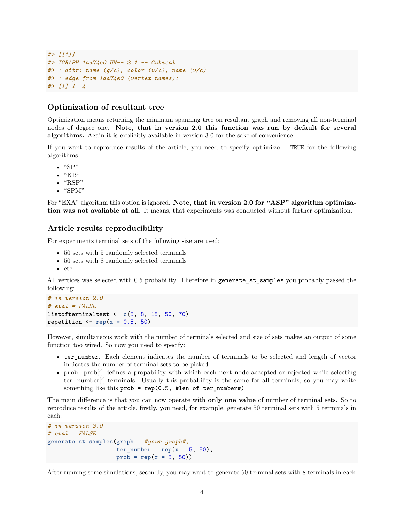```
#> [[1]]
#> IGRAPH 1aa74e0 UN-- 2 1 -- Cubical
#> + attr: name (g/c), color (v/c), name (v/c)
#> + edge from 1aa74e0 (vertex names):
#> [1] 1--4
```
#### **Optimization of resultant tree**

Optimization means returning the minimum spanning tree on resultant graph and removing all non-terminal nodes of degree one. **Note, that in version 2.0 this function was run by default for several algorithms.** Again it is explicitly available in version 3.0 for the sake of convenience.

If you want to reproduce results of the article, you need to specify optimize = TRUE for the following algorithms:

- $\bullet$  "SP"
- $\bullet$  "KB"
- $\bullet$  "RSP"
- "SPM"

For "EXA" algorithm this option is ignored. **Note, that in version 2.0 for "ASP" algorithm optimization was not avaliable at all.** It means, that experiments was conducted without further optimization.

## **Article results reproducibility**

For experiments terminal sets of the following size are used:

- 50 sets with 5 randomly selected terminals
- 50 sets with 8 randomly selected terminals
- etc.

All vertices was selected with 0.5 probability. Therefore in generate\_st\_samples you probably passed the following:

```
# in version 2.0
# eval = FALSE
listofterminaltest <- c(5, 8, 15, 50, 70)
repetition \leq rep(x = 0.5, 50)
```
However, simultaneous work with the number of terminals selected and size of sets makes an output of some function too wired. So now you need to specify:

- ter number. Each element indicates the number of terminals to be selected and length of vector indicates the number of terminal sets to be picked.
- prob. prob[i] defines a propability with which each next node accepted or rejected while selecting ter\_number[i] terminals. Usually this probability is the same for all terminals, so you may write something like this prob = rep(0.5, #len of ter\_number#)

The main difference is that you can now operate with **only one value** of number of terminal sets. So to reproduce results of the article, firstly, you need, for example, generate 50 terminal sets with 5 terminals in each.

```
# in version 3.0
# eval = FALSE
generate_st_samples(graph = #your graph#,
                    ter_number = rep(x = 5, 50),
                    prob = rep(x = 5, 50))
```
After running some simulations, secondly, you may want to generate 50 terminal sets with 8 terminals in each.